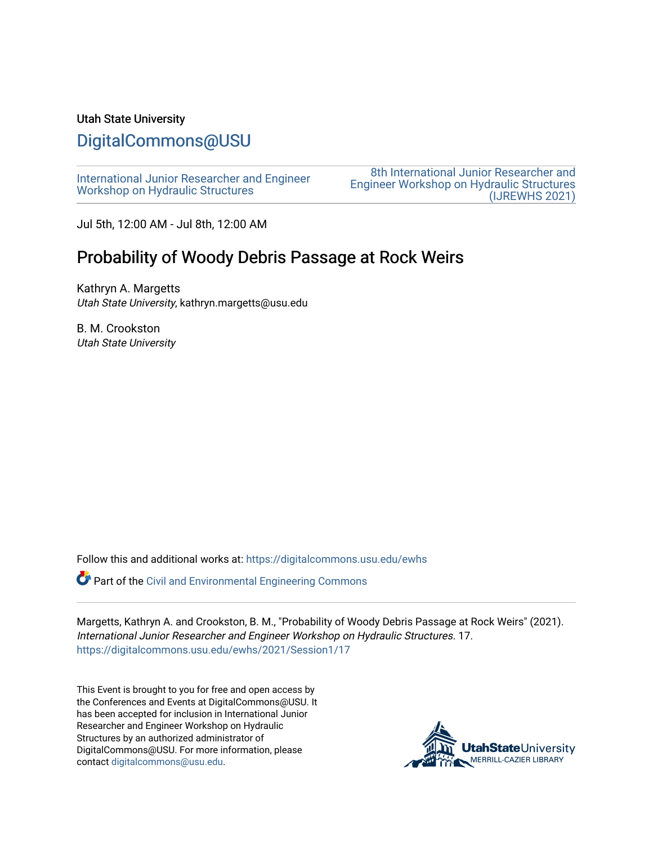#### Utah State University

# [DigitalCommons@USU](https://digitalcommons.usu.edu/)

[International Junior Researcher and Engineer](https://digitalcommons.usu.edu/ewhs) [Workshop on Hydraulic Structures](https://digitalcommons.usu.edu/ewhs)

[8th International Junior Researcher and](https://digitalcommons.usu.edu/ewhs/2021)  [Engineer Workshop on Hydraulic Structures](https://digitalcommons.usu.edu/ewhs/2021)  [\(IJREWHS 2021\)](https://digitalcommons.usu.edu/ewhs/2021) 

Jul 5th, 12:00 AM - Jul 8th, 12:00 AM

# Probability of Woody Debris Passage at Rock Weirs

Kathryn A. Margetts Utah State University, kathryn.margetts@usu.edu

B. M. Crookston Utah State University

Follow this and additional works at: [https://digitalcommons.usu.edu/ewhs](https://digitalcommons.usu.edu/ewhs?utm_source=digitalcommons.usu.edu%2Fewhs%2F2021%2FSession1%2F17&utm_medium=PDF&utm_campaign=PDFCoverPages) 

Part of the [Civil and Environmental Engineering Commons](http://network.bepress.com/hgg/discipline/251?utm_source=digitalcommons.usu.edu%2Fewhs%2F2021%2FSession1%2F17&utm_medium=PDF&utm_campaign=PDFCoverPages)

Margetts, Kathryn A. and Crookston, B. M., "Probability of Woody Debris Passage at Rock Weirs" (2021). International Junior Researcher and Engineer Workshop on Hydraulic Structures. 17. [https://digitalcommons.usu.edu/ewhs/2021/Session1/17](https://digitalcommons.usu.edu/ewhs/2021/Session1/17?utm_source=digitalcommons.usu.edu%2Fewhs%2F2021%2FSession1%2F17&utm_medium=PDF&utm_campaign=PDFCoverPages) 

This Event is brought to you for free and open access by the Conferences and Events at DigitalCommons@USU. It has been accepted for inclusion in International Junior Researcher and Engineer Workshop on Hydraulic Structures by an authorized administrator of DigitalCommons@USU. For more information, please contact [digitalcommons@usu.edu](mailto:digitalcommons@usu.edu).

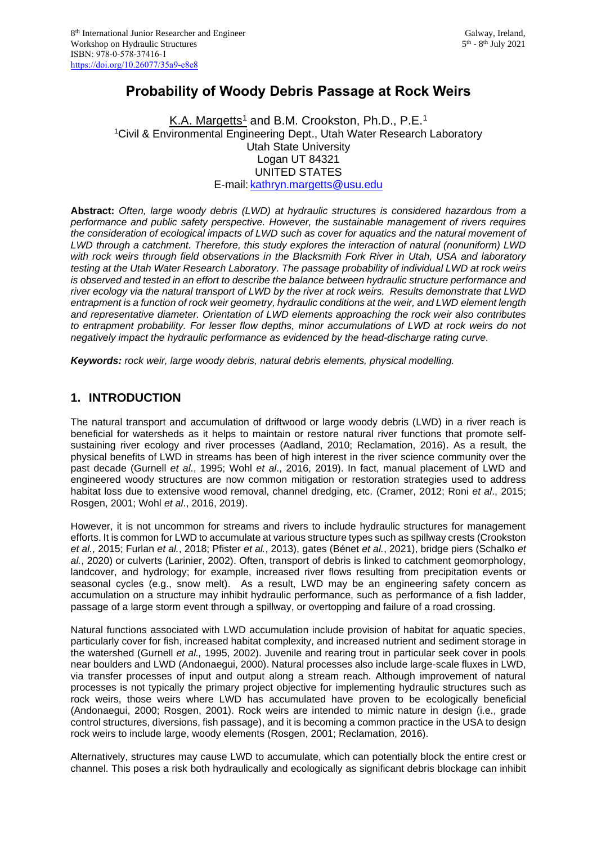## **Probability of Woody Debris Passage at Rock Weirs**

K.A. Margetts<sup>1</sup> and B.M. Crookston, Ph.D., P.E.<sup>1</sup> <sup>1</sup>Civil & Environmental Engineering Dept., Utah Water Research Laboratory Utah State University Logan UT 84321 UNITED STATES E-mail: [kathryn.margetts@usu.edu](mailto:kathryn.margetts@usu.edu)

**Abstract:** *Often, large woody debris (LWD) at hydraulic structures is considered hazardous from a performance and public safety perspective. However, the sustainable management of rivers requires the consideration of ecological impacts of LWD such as cover for aquatics and the natural movement of LWD through a catchment. Therefore, this study explores the interaction of natural (nonuniform) LWD with rock weirs through field observations in the Blacksmith Fork River in Utah, USA and laboratory testing at the Utah Water Research Laboratory. The passage probability of individual LWD at rock weirs is observed and tested in an effort to describe the balance between hydraulic structure performance and river ecology via the natural transport of LWD by the river at rock weirs. Results demonstrate that LWD entrapment is a function of rock weir geometry, hydraulic conditions at the weir, and LWD element length and representative diameter. Orientation of LWD elements approaching the rock weir also contributes to entrapment probability. For lesser flow depths, minor accumulations of LWD at rock weirs do not negatively impact the hydraulic performance as evidenced by the head-discharge rating curve.* 

*Keywords: rock weir, large woody debris, natural debris elements, physical modelling.*

#### **1. INTRODUCTION**

The natural transport and accumulation of driftwood or large woody debris (LWD) in a river reach is beneficial for watersheds as it helps to maintain or restore natural river functions that promote selfsustaining river ecology and river processes (Aadland, 2010; Reclamation, 2016). As a result, the physical benefits of LWD in streams has been of high interest in the river science community over the past decade (Gurnell *et al*., 1995; Wohl *et al*., 2016, 2019). In fact, manual placement of LWD and engineered woody structures are now common mitigation or restoration strategies used to address habitat loss due to extensive wood removal, channel dredging, etc. (Cramer, 2012; Roni *et al*., 2015; Rosgen, 2001; Wohl *et al*., 2016, 2019).

However, it is not uncommon for streams and rivers to include hydraulic structures for management efforts. It is common for LWD to accumulate at various structure types such as spillway crests (Crookston *et al.*, 2015; Furlan *et al.*, 2018; Pfister *et al.*, 2013), gates (Bénet *et al.*, 2021), bridge piers (Schalko *et al.*, 2020) or culverts (Larinier, 2002). Often, transport of debris is linked to catchment geomorphology, landcover, and hydrology; for example, increased river flows resulting from precipitation events or seasonal cycles (e.g., snow melt). As a result, LWD may be an engineering safety concern as accumulation on a structure may inhibit hydraulic performance, such as performance of a fish ladder, passage of a large storm event through a spillway, or overtopping and failure of a road crossing.

Natural functions associated with LWD accumulation include provision of habitat for aquatic species, particularly cover for fish, increased habitat complexity, and increased nutrient and sediment storage in the watershed (Gurnell *et al.,* 1995, 2002). Juvenile and rearing trout in particular seek cover in pools near boulders and LWD (Andonaegui, 2000). Natural processes also include large-scale fluxes in LWD, via transfer processes of input and output along a stream reach. Although improvement of natural processes is not typically the primary project objective for implementing hydraulic structures such as rock weirs, those weirs where LWD has accumulated have proven to be ecologically beneficial (Andonaegui, 2000; Rosgen, 2001). Rock weirs are intended to mimic nature in design (i.e., grade control structures, diversions, fish passage), and it is becoming a common practice in the USA to design rock weirs to include large, woody elements (Rosgen, 2001; Reclamation, 2016).

Alternatively, structures may cause LWD to accumulate, which can potentially block the entire crest or channel. This poses a risk both hydraulically and ecologically as significant debris blockage can inhibit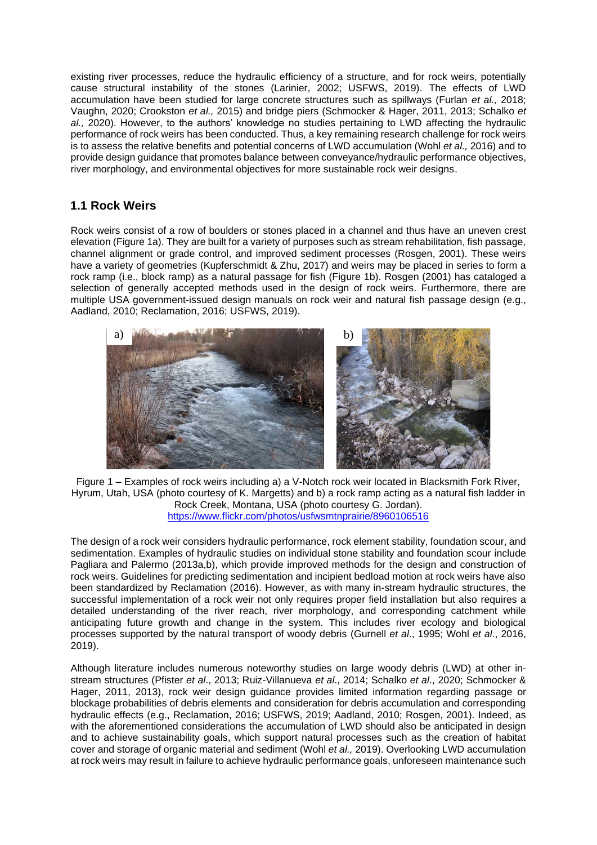existing river processes, reduce the hydraulic efficiency of a structure, and for rock weirs, potentially cause structural instability of the stones (Larinier, 2002; USFWS, 2019). The effects of LWD accumulation have been studied for large concrete structures such as spillways (Furlan *et al.,* 2018; Vaughn, 2020; Crookston *et al.,* 2015) and bridge piers (Schmocker & Hager, 2011, 2013; Schalko *et al.,* 2020). However, to the authors' knowledge no studies pertaining to LWD affecting the hydraulic performance of rock weirs has been conducted. Thus, a key remaining research challenge for rock weirs is to assess the relative benefits and potential concerns of LWD accumulation (Wohl *et al.,* 2016) and to provide design guidance that promotes balance between conveyance/hydraulic performance objectives, river morphology, and environmental objectives for more sustainable rock weir designs.

### **1.1 Rock Weirs**

Rock weirs consist of a row of boulders or stones placed in a channel and thus have an uneven crest elevation (Figure 1a). They are built for a variety of purposes such as stream rehabilitation, fish passage, channel alignment or grade control, and improved sediment processes (Rosgen, 2001). These weirs have a variety of geometries (Kupferschmidt & Zhu, 2017) and weirs may be placed in series to form a rock ramp (i.e., block ramp) as a natural passage for fish (Figure 1b). Rosgen (2001) has cataloged a selection of generally accepted methods used in the design of rock weirs. Furthermore, there are multiple USA government-issued design manuals on rock weir and natural fish passage design (e.g., Aadland, 2010; Reclamation, 2016; USFWS, 2019).



Figure 1 – Examples of rock weirs including a) a V-Notch rock weir located in Blacksmith Fork River, Hyrum, Utah, USA (photo courtesy of K. Margetts) and b) a rock ramp acting as a natural fish ladder in Rock Creek, Montana, USA (photo courtesy G. Jordan). <https://www.flickr.com/photos/usfwsmtnprairie/8960106516>

The design of a rock weir considers hydraulic performance, rock element stability, foundation scour, and sedimentation. Examples of hydraulic studies on individual stone stability and foundation scour include Pagliara and Palermo (2013a,b), which provide improved methods for the design and construction of rock weirs. Guidelines for predicting sedimentation and incipient bedload motion at rock weirs have also been standardized by Reclamation (2016). However, as with many in-stream hydraulic structures, the successful implementation of a rock weir not only requires proper field installation but also requires a detailed understanding of the river reach, river morphology, and corresponding catchment while anticipating future growth and change in the system. This includes river ecology and biological processes supported by the natural transport of woody debris (Gurnell *et al*., 1995; Wohl *et al*., 2016, 2019).

Although literature includes numerous noteworthy studies on large woody debris (LWD) at other instream structures (Pfister *et al*., 2013; Ruiz-Villanueva *et al*., 2014; Schalko *et al*., 2020; Schmocker & Hager, 2011, 2013), rock weir design guidance provides limited information regarding passage or blockage probabilities of debris elements and consideration for debris accumulation and corresponding hydraulic effects (e.g., Reclamation, 2016; USFWS, 2019; Aadland, 2010; Rosgen, 2001). Indeed, as with the aforementioned considerations the accumulation of LWD should also be anticipated in design and to achieve sustainability goals, which support natural processes such as the creation of habitat cover and storage of organic material and sediment (Wohl *et al.,* 2019). Overlooking LWD accumulation at rock weirs may result in failure to achieve hydraulic performance goals, unforeseen maintenance such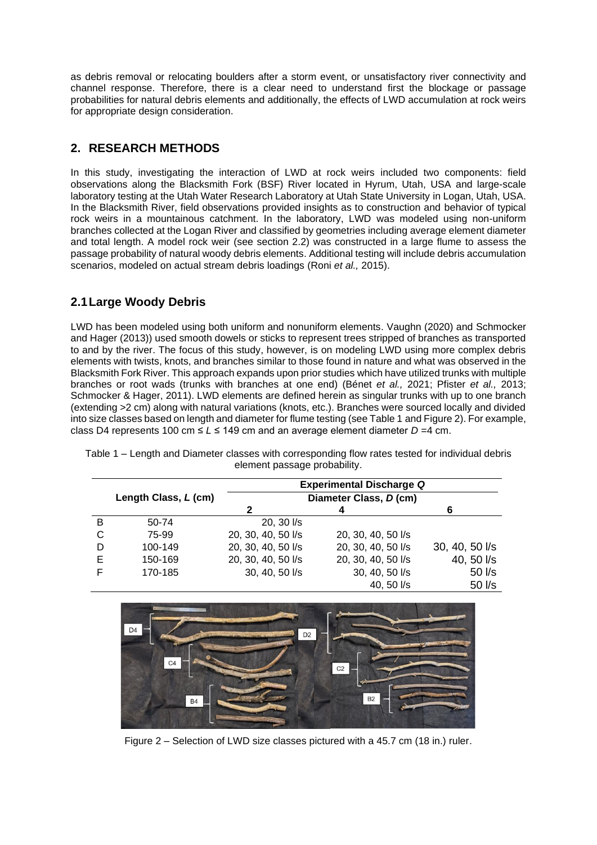as debris removal or relocating boulders after a storm event, or unsatisfactory river connectivity and channel response. Therefore, there is a clear need to understand first the blockage or passage probabilities for natural debris elements and additionally, the effects of LWD accumulation at rock weirs for appropriate design consideration.

#### **2. RESEARCH METHODS**

In this study, investigating the interaction of LWD at rock weirs included two components: field observations along the Blacksmith Fork (BSF) River located in Hyrum, Utah, USA and large-scale laboratory testing at the Utah Water Research Laboratory at Utah State University in Logan, Utah, USA. In the Blacksmith River, field observations provided insights as to construction and behavior of typical rock weirs in a mountainous catchment. In the laboratory, LWD was modeled using non-uniform branches collected at the Logan River and classified by geometries including average element diameter and total length. A model rock weir (see section 2.2) was constructed in a large flume to assess the passage probability of natural woody debris elements. Additional testing will include debris accumulation scenarios, modeled on actual stream debris loadings (Roni *et al.,* 2015).

#### **2.1Large Woody Debris**

LWD has been modeled using both uniform and nonuniform elements. Vaughn (2020) and Schmocker and Hager (2013)) used smooth dowels or sticks to represent trees stripped of branches as transported to and by the river. The focus of this study, however, is on modeling LWD using more complex debris elements with twists, knots, and branches similar to those found in nature and what was observed in the Blacksmith Fork River. This approach expands upon prior studies which have utilized trunks with multiple branches or root wads (trunks with branches at one end) (Bénet *et al.,* 2021; Pfister *et al.,* 2013; Schmocker & Hager, 2011). LWD elements are defined herein as singular trunks with up to one branch (extending >2 cm) along with natural variations (knots, etc.). Branches were sourced locally and divided into size classes based on length and diameter for flume testing (see Table 1 and Figure 2). For example, class D4 represents 100 cm ≤ *L* ≤ 149 cm and an average element diameter *D =*4 cm.

|   |                      | <b>Experimental Discharge Q</b> |                    |                |
|---|----------------------|---------------------------------|--------------------|----------------|
|   | Length Class, L (cm) | Diameter Class, D (cm)          |                    |                |
|   |                      | 2                               | 4                  | 6              |
| в | 50-74                | 20, 30 l/s                      |                    |                |
| C | 75-99                | 20, 30, 40, 50 l/s              | 20, 30, 40, 50 l/s |                |
| D | 100-149              | 20, 30, 40, 50 l/s              | 20, 30, 40, 50 l/s | 30, 40, 50 l/s |
| Е | 150-169              | 20, 30, 40, 50 l/s              | 20, 30, 40, 50 l/s | 40, 50 l/s     |
|   | 170-185              | 30, 40, 50 l/s                  | 30, 40, 50 l/s     | 50 l/s         |
|   |                      |                                 | 40, 50 l/s         | 50 l/s         |

Table 1 – Length and Diameter classes with corresponding flow rates tested for individual debris element passage probability.



Figure 2 – Selection of LWD size classes pictured with a 45.7 cm (18 in.) ruler.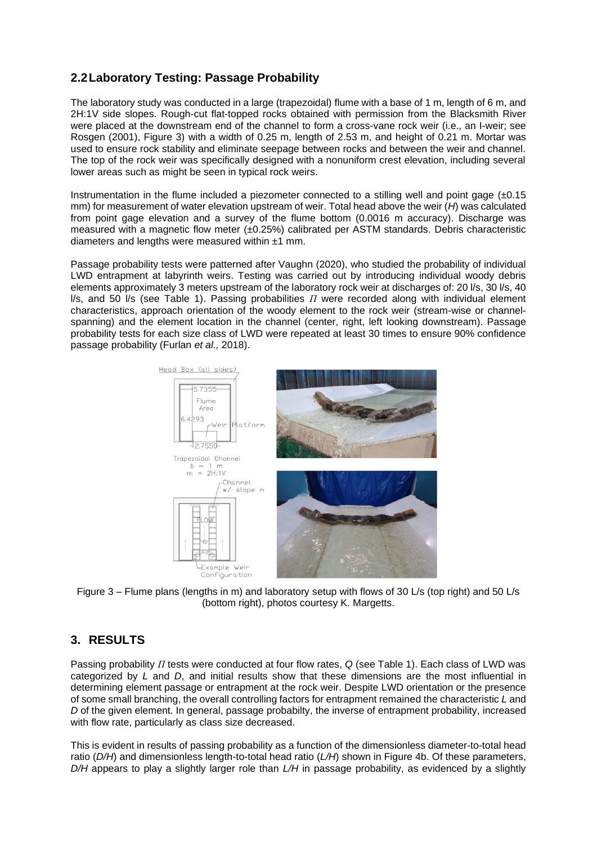### **2.2Laboratory Testing: Passage Probability**

The laboratory study was conducted in a large (trapezoidal) flume with a base of 1 m, length of 6 m, and 2H:1V side slopes. Rough-cut flat-topped rocks obtained with permission from the Blacksmith River were placed at the downstream end of the channel to form a cross-vane rock weir (i.e., an I-weir; see Rosgen (2001), Figure 3) with a width of 0.25 m, length of 2.53 m, and height of 0.21 m. Mortar was used to ensure rock stability and eliminate seepage between rocks and between the weir and channel. The top of the rock weir was specifically designed with a nonuniform crest elevation, including several lower areas such as might be seen in typical rock weirs.

Instrumentation in the flume included a piezometer connected to a stilling well and point gage  $(\pm 0.15)$ mm) for measurement of water elevation upstream of weir. Total head above the weir (*H*) was calculated from point gage elevation and a survey of the flume bottom (0.0016 m accuracy). Discharge was measured with a magnetic flow meter (±0.25%) calibrated per ASTM standards. Debris characteristic diameters and lengths were measured within  $±1$  mm.

Passage probability tests were patterned after Vaughn (2020), who studied the probability of individual LWD entrapment at labyrinth weirs. Testing was carried out by introducing individual woody debris elements approximately 3 meters upstream of the laboratory rock weir at discharges of: 20 l/s, 30 l/s, 40 l/s, and 50 l/s (see Table 1). Passing probabilities *Π* were recorded along with individual element characteristics, approach orientation of the woody element to the rock weir (stream-wise or channelspanning) and the element location in the channel (center, right, left looking downstream). Passage probability tests for each size class of LWD were repeated at least 30 times to ensure 90% confidence passage probability (Furlan *et al.,* 2018).



Figure 3 – Flume plans (lengths in m) and laboratory setup with flows of 30 L/s (top right) and 50 L/s (bottom right), photos courtesy K. Margetts.

### **3. RESULTS**

Passing probability *Π* tests were conducted at four flow rates, *Q* (see Table 1). Each class of LWD was categorized by *L* and *D*, and initial results show that these dimensions are the most influential in determining element passage or entrapment at the rock weir. Despite LWD orientation or the presence of some small branching, the overall controlling factors for entrapment remained the characteristic *L* and *D* of the given element. In general, passage probabilty, the inverse of entrapment probability, increased with flow rate, particularly as class size decreased.

This is evident in results of passing probability as a function of the dimensionless diameter-to-total head ratio (*D/H*) and dimensionless length-to-total head ratio (*L/H*) shown in Figure 4b. Of these parameters, *D/H* appears to play a slightly larger role than *L/H* in passage probability, as evidenced by a slightly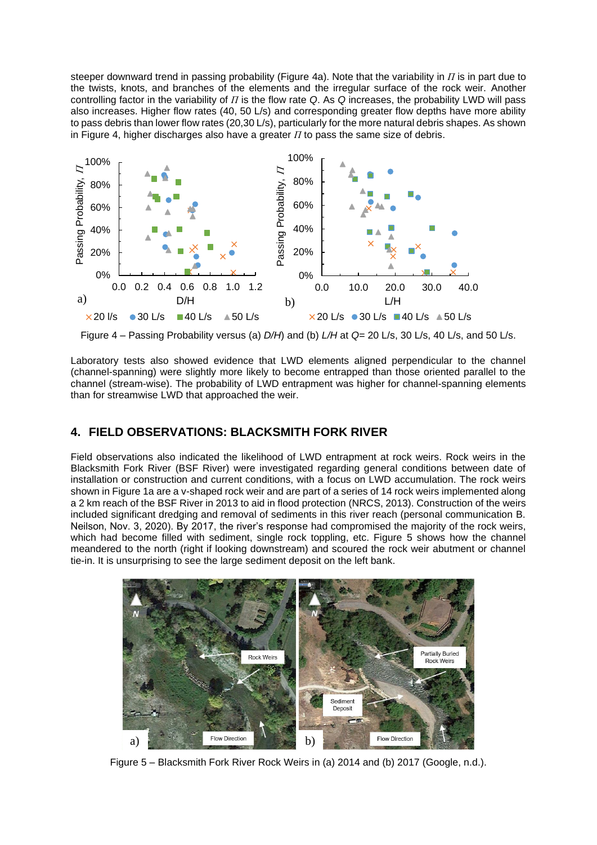steeper downward trend in passing probability (Figure 4a). Note that the variability in *Π* is in part due to the twists, knots, and branches of the elements and the irregular surface of the rock weir. Another controlling factor in the variability of *Π* is the flow rate *Q*. As *Q* increases, the probability LWD will pass also increases. Higher flow rates (40, 50 L/s) and corresponding greater flow depths have more ability to pass debris than lower flow rates (20,30 L/s), particularly for the more natural debris shapes. As shown in Figure 4, higher discharges also have a greater *Π* to pass the same size of debris.



Figure 4 – Passing Probability versus (a) *D/H*) and (b) *L/H* at *Q=* 20 L/s, 30 L/s, 40 L/s, and 50 L/s.

Laboratory tests also showed evidence that LWD elements aligned perpendicular to the channel (channel-spanning) were slightly more likely to become entrapped than those oriented parallel to the channel (stream-wise). The probability of LWD entrapment was higher for channel-spanning elements than for streamwise LWD that approached the weir.

#### **4. FIELD OBSERVATIONS: BLACKSMITH FORK RIVER**

Field observations also indicated the likelihood of LWD entrapment at rock weirs. Rock weirs in the Blacksmith Fork River (BSF River) were investigated regarding general conditions between date of installation or construction and current conditions, with a focus on LWD accumulation. The rock weirs shown in Figure 1a are a v-shaped rock weir and are part of a series of 14 rock weirs implemented along a 2 km reach of the BSF River in 2013 to aid in flood protection (NRCS, 2013). Construction of the weirs included significant dredging and removal of sediments in this river reach (personal communication B. Neilson, Nov. 3, 2020). By 2017, the river's response had compromised the majority of the rock weirs, which had become filled with sediment, single rock toppling, etc. Figure 5 shows how the channel meandered to the north (right if looking downstream) and scoured the rock weir abutment or channel tie-in. It is unsurprising to see the large sediment deposit on the left bank.



Figure 5 – Blacksmith Fork River Rock Weirs in (a) 2014 and (b) 2017 (Google, n.d.).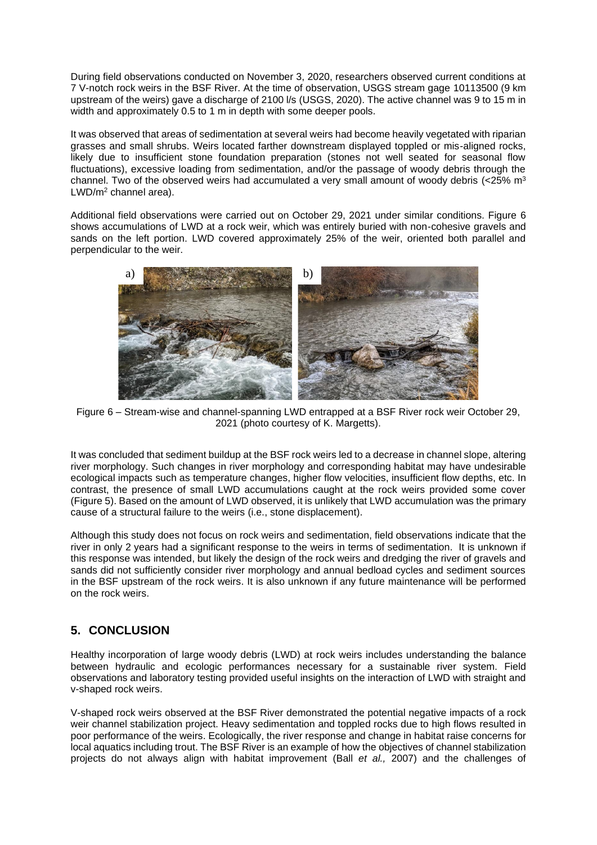During field observations conducted on November 3, 2020, researchers observed current conditions at 7 V-notch rock weirs in the BSF River. At the time of observation, USGS stream gage 10113500 (9 km upstream of the weirs) gave a discharge of 2100 l/s (USGS, 2020). The active channel was 9 to 15 m in width and approximately 0.5 to 1 m in depth with some deeper pools.

It was observed that areas of sedimentation at several weirs had become heavily vegetated with riparian grasses and small shrubs. Weirs located farther downstream displayed toppled or mis-aligned rocks, likely due to insufficient stone foundation preparation (stones not well seated for seasonal flow fluctuations), excessive loading from sedimentation, and/or the passage of woody debris through the channel. Two of the observed weirs had accumulated a very small amount of woody debris ( $<$ 25% m<sup>3</sup> LWD/m<sup>2</sup> channel area).

Additional field observations were carried out on October 29, 2021 under similar conditions. Figure 6 shows accumulations of LWD at a rock weir, which was entirely buried with non-cohesive gravels and sands on the left portion. LWD covered approximately 25% of the weir, oriented both parallel and perpendicular to the weir.



Figure 6 – Stream-wise and channel-spanning LWD entrapped at a BSF River rock weir October 29, 2021 (photo courtesy of K. Margetts).

It was concluded that sediment buildup at the BSF rock weirs led to a decrease in channel slope, altering river morphology. Such changes in river morphology and corresponding habitat may have undesirable ecological impacts such as temperature changes, higher flow velocities, insufficient flow depths, etc. In contrast, the presence of small LWD accumulations caught at the rock weirs provided some cover (Figure 5). Based on the amount of LWD observed, it is unlikely that LWD accumulation was the primary cause of a structural failure to the weirs (i.e., stone displacement).

Although this study does not focus on rock weirs and sedimentation, field observations indicate that the river in only 2 years had a significant response to the weirs in terms of sedimentation. It is unknown if this response was intended, but likely the design of the rock weirs and dredging the river of gravels and sands did not sufficiently consider river morphology and annual bedload cycles and sediment sources in the BSF upstream of the rock weirs. It is also unknown if any future maintenance will be performed on the rock weirs.

#### **5. CONCLUSION**

Healthy incorporation of large woody debris (LWD) at rock weirs includes understanding the balance between hydraulic and ecologic performances necessary for a sustainable river system. Field observations and laboratory testing provided useful insights on the interaction of LWD with straight and v-shaped rock weirs.

V-shaped rock weirs observed at the BSF River demonstrated the potential negative impacts of a rock weir channel stabilization project. Heavy sedimentation and toppled rocks due to high flows resulted in poor performance of the weirs. Ecologically, the river response and change in habitat raise concerns for local aquatics including trout. The BSF River is an example of how the objectives of channel stabilization projects do not always align with habitat improvement (Ball *et al.,* 2007) and the challenges of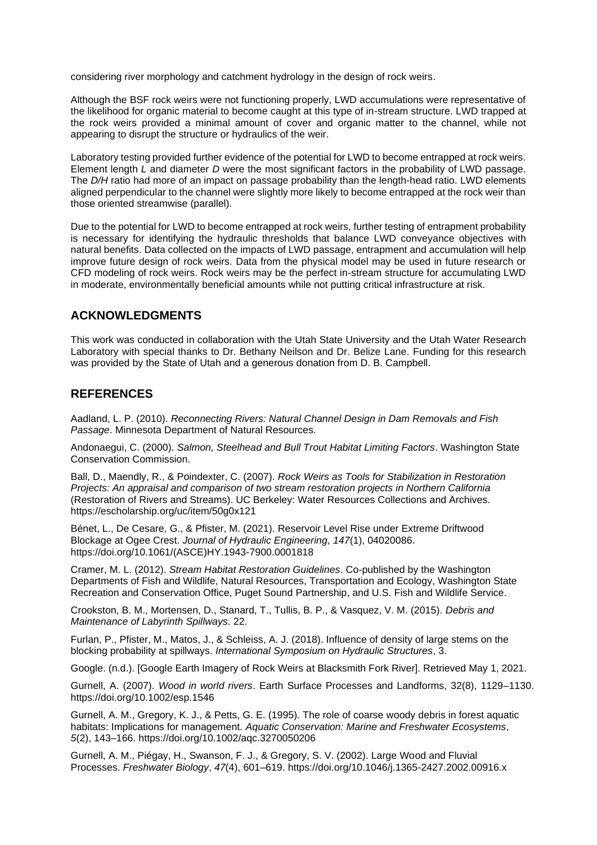considering river morphology and catchment hydrology in the design of rock weirs.

Although the BSF rock weirs were not functioning properly, LWD accumulations were representative of the likelihood for organic material to become caught at this type of in-stream structure. LWD trapped at the rock weirs provided a minimal amount of cover and organic matter to the channel, while not appearing to disrupt the structure or hydraulics of the weir.

Laboratory testing provided further evidence of the potential for LWD to become entrapped at rock weirs. Element length *L* and diameter *D* were the most significant factors in the probability of LWD passage. The *D/H* ratio had more of an impact on passage probability than the length-head ratio. LWD elements aligned perpendicular to the channel were slightly more likely to become entrapped at the rock weir than those oriented streamwise (parallel).

Due to the potential for LWD to become entrapped at rock weirs, further testing of entrapment probability is necessary for identifying the hydraulic thresholds that balance LWD conveyance objectives with natural benefits. Data collected on the impacts of LWD passage, entrapment and accumulation will help improve future design of rock weirs. Data from the physical model may be used in future research or CFD modeling of rock weirs. Rock weirs may be the perfect in-stream structure for accumulating LWD in moderate, environmentally beneficial amounts while not putting critical infrastructure at risk.

#### **ACKNOWLEDGMENTS**

This work was conducted in collaboration with the Utah State University and the Utah Water Research Laboratory with special thanks to Dr. Bethany Neilson and Dr. Belize Lane. Funding for this research was provided by the State of Utah and a generous donation from D. B. Campbell.

#### **REFERENCES**

Aadland, L. P. (2010). *Reconnecting Rivers: Natural Channel Design in Dam Removals and Fish Passage*. Minnesota Department of Natural Resources.

Andonaegui, C. (2000). *Salmon, Steelhead and Bull Trout Habitat Limiting Factors*. Washington State Conservation Commission.

Ball, D., Maendly, R., & Poindexter, C. (2007). *Rock Weirs as Tools for Stabilization in Restoration Projects: An appraisal and comparison of two stream restoration projects in Northern California* (Restoration of Rivers and Streams). UC Berkeley: Water Resources Collections and Archives. https://escholarship.org/uc/item/50g0x121

Bénet, L., De Cesare, G., & Pfister, M. (2021). Reservoir Level Rise under Extreme Driftwood Blockage at Ogee Crest. *Journal of Hydraulic Engineering*, *147*(1), 04020086. https://doi.org/10.1061/(ASCE)HY.1943-7900.0001818

Cramer, M. L. (2012). *Stream Habitat Restoration Guidelines*. Co-published by the Washington Departments of Fish and Wildlife, Natural Resources, Transportation and Ecology, Washington State Recreation and Conservation Office, Puget Sound Partnership, and U.S. Fish and Wildlife Service.

Crookston, B. M., Mortensen, D., Stanard, T., Tullis, B. P., & Vasquez, V. M. (2015). *Debris and Maintenance of Labyrinth Spillways*. 22.

Furlan, P., Pfister, M., Matos, J., & Schleiss, A. J. (2018). Influence of density of large stems on the blocking probability at spillways. *International Symposium on Hydraulic Structures*, 3.

Google. (n.d.). [Google Earth Imagery of Rock Weirs at Blacksmith Fork River]. Retrieved May 1, 2021.

Gurnell, A. (2007). *Wood in world rivers*. Earth Surface Processes and Landforms, 32(8), 1129–1130. https://doi.org/10.1002/esp.1546

Gurnell, A. M., Gregory, K. J., & Petts, G. E. (1995). The role of coarse woody debris in forest aquatic habitats: Implications for management. *Aquatic Conservation: Marine and Freshwater Ecosystems*, *5*(2), 143–166. https://doi.org/10.1002/aqc.3270050206

Gurnell, A. M., Piégay, H., Swanson, F. J., & Gregory, S. V. (2002). Large Wood and Fluvial Processes. *Freshwater Biology*, *47*(4), 601–619. https://doi.org/10.1046/j.1365-2427.2002.00916.x